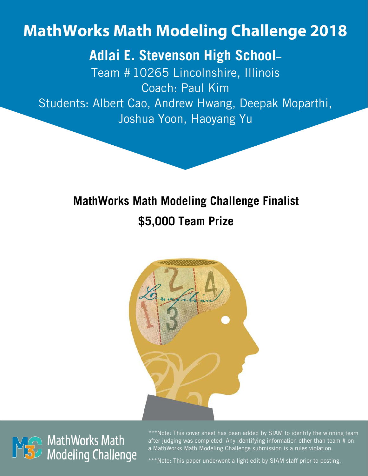# **MathWorks Math Modeling Challenge 2018**

**Adlai E. Stevenson High School**–

Team #10265 Lincolnshire, Illinois Coach: Paul Kim Students: Albert Cao, Andrew Hwang, Deepak Moparthi, Joshua Yoon, Haoyang Yu

## **MathWorks Math Modeling Challenge Finalist \$5,000 Team Prize**





\*\*\*Note: This cover sheet has been added by SIAM to identify the winning team after judging was completed. Any identifying information other than team # on a MathWorks Math Modeling Challenge submission is a rules violation.

\*\*\*Note: This paper underwent a light edit by SIAM staff prior to posting.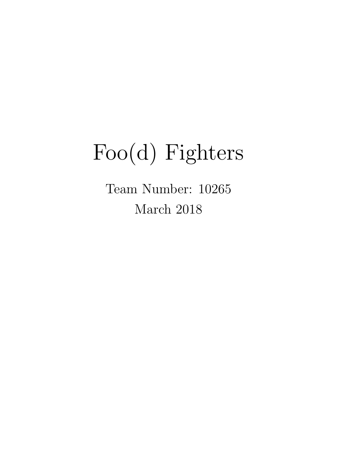# Foo(d) Fighters

Team Number: 10265 March 2018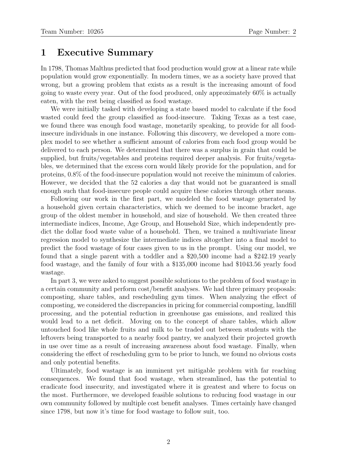## 1 Executive Summary

In 1798, Thomas Malthus predicted that food production would grow at a linear rate while population would grow exponentially. In modern times, we as a society have proved that wrong, but a growing problem that exists as a result is the increasing amount of food going to waste every year. Out of the food produced, only approximately 60% is actually eaten, with the rest being classified as food wastage.

We were initially tasked with developing a state based model to calculate if the food wasted could feed the group classified as food-insecure. Taking Texas as a test case, we found there was enough food wastage, monetarily speaking, to provide for all foodinsecure individuals in one instance. Following this discovery, we developed a more complex model to see whether a sufficient amount of calories from each food group would be delivered to each person. We determined that there was a surplus in grain that could be supplied, but fruits/vegetables and proteins required deeper analysis. For fruits/vegetables, we determined that the excess corn would likely provide for the population, and for proteins, 0.8% of the food-insecure population would not receive the minimum of calories. However, we decided that the 52 calories a day that would not be guaranteed is small enough such that food-insecure people could acquire these calories through other means.

Following our work in the first part, we modeled the food wastage generated by a household given certain characteristics, which we deemed to be income bracket, age group of the oldest member in household, and size of household. We then created three intermediate indices, Income, Age Group, and Household Size, which independently predict the dollar food waste value of a household. Then, we trained a multivariate linear regression model to synthesize the intermediate indices altogether into a final model to predict the food wastage of four cases given to us in the prompt. Using our model, we found that a single parent with a toddler and a \$20,500 income had a \$242.19 yearly food wastage, and the family of four with a \$135,000 income had \$1043.56 yearly food wastage.

In part 3, we were asked to suggest possible solutions to the problem of food wastage in a certain community and perform cost/benefit analyses. We had three primary proposals: composting, share tables, and rescheduling gym times. When analyzing the effect of composting, we considered the discrepancies in pricing for commercial composting, landfill processing, and the potential reduction in greenhouse gas emissions, and realized this would lead to a net deficit. Moving on to the concept of share tables, which allow untouched food like whole fruits and milk to be traded out between students with the leftovers being transported to a nearby food pantry, we analyzed their projected growth in use over time as a result of increasing awareness about food wastage. Finally, when considering the effect of rescheduling gym to be prior to lunch, we found no obvious costs and only potential benefits.

Ultimately, food wastage is an imminent yet mitigable problem with far reaching consequences. We found that food wastage, when streamlined, has the potential to eradicate food insecurity, and investigated where it is greatest and where to focus on the most. Furthermore, we developed feasible solutions to reducing food wastage in our own community followed by multiple cost benefit analyses. Times certainly have changed since 1798, but now it's time for food wastage to follow suit, too.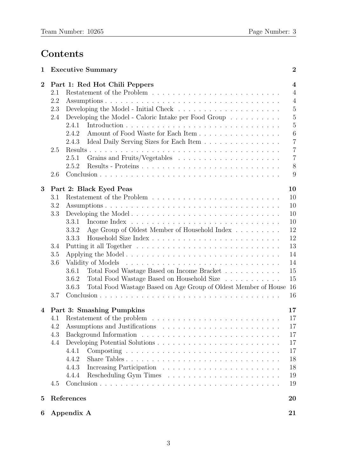## Contents

| $\mathbf 1$    |         | <b>Executive Summary</b>                                                               | $\boldsymbol{2}$ |
|----------------|---------|----------------------------------------------------------------------------------------|------------------|
| $\overline{2}$ |         | Part 1: Red Hot Chili Peppers                                                          | $\boldsymbol{4}$ |
|                | 2.1     |                                                                                        | $\overline{4}$   |
|                | 2.2     |                                                                                        | $\overline{4}$   |
|                | 2.3     | Developing the Model - Initial Check $\dots \dots \dots \dots \dots \dots \dots \dots$ | $\overline{5}$   |
|                | 2.4     | Developing the Model - Caloric Intake per Food Group $\dots \dots \dots$               | 5                |
|                |         | 2.4.1                                                                                  | $\overline{5}$   |
|                |         | Amount of Food Waste for Each Item<br>2.4.2                                            | $6\phantom{.}6$  |
|                |         | Ideal Daily Serving Sizes for Each Item<br>2.4.3                                       | $\overline{7}$   |
|                | 2.5     |                                                                                        | $\overline{7}$   |
|                |         | 2.5.1                                                                                  | $\overline{7}$   |
|                |         | 2.5.2                                                                                  | 8                |
|                | 2.6     |                                                                                        | 9                |
|                |         |                                                                                        |                  |
| 3              |         | Part 2: Black Eyed Peas                                                                | 10               |
|                | 3.1     |                                                                                        | 10               |
|                | 3.2     |                                                                                        | 10               |
|                | 3.3     |                                                                                        | 10               |
|                |         | 3.3.1                                                                                  | 10               |
|                |         | Age Group of Oldest Member of Household Index<br>3.3.2                                 | 12               |
|                |         | 3.3.3                                                                                  | 12               |
|                | 3.4     |                                                                                        | 13               |
|                | 3.5     | Applying the Model                                                                     | 14               |
|                | 3.6     |                                                                                        | 14               |
|                |         | Total Food Wastage Based on Income Bracket<br>3.6.1                                    | 15               |
|                |         | Total Food Wastage Based on Household Size<br>3.6.2                                    | 15               |
|                |         | Total Food Wastage Based on Age Group of Oldest Member of House<br>3.6.3               | 16               |
|                | $3.7\,$ |                                                                                        | 16               |
| 4              |         | <b>Part 3: Smashing Pumpkins</b>                                                       | 17               |
|                |         | 4.1 Restatement of the problem.                                                        | 17               |
|                | 4.2     | Assumptions and Justifications                                                         | 17               |
|                | 4.3     |                                                                                        | 17               |
|                | 4.4     |                                                                                        | 17               |
|                |         | 4.4.1                                                                                  | 17               |
|                |         | 4.4.2                                                                                  | 18               |
|                |         | 4.4.3                                                                                  | 18               |
|                |         | 4.4.4                                                                                  | 19               |
|                | 4.5     |                                                                                        | 19               |
| $\bf{5}$       |         | References                                                                             | 20               |
| 6              |         | Appendix A                                                                             | 21               |
|                |         |                                                                                        |                  |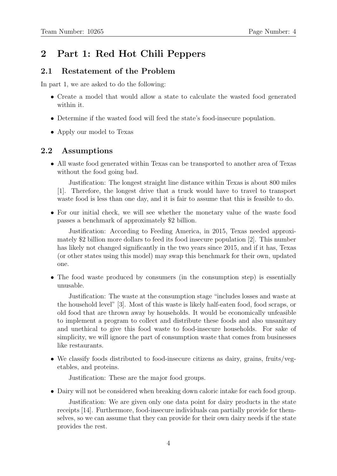## 2 Part 1: Red Hot Chili Peppers

## 2.1 Restatement of the Problem

In part 1, we are asked to do the following:

- Create a model that would allow a state to calculate the wasted food generated within it.
- Determine if the wasted food will feed the state's food-insecure population.
- Apply our model to Texas

## 2.2 Assumptions

• All waste food generated within Texas can be transported to another area of Texas without the food going bad.

Justification: The longest straight line distance within Texas is about 800 miles [1]. Therefore, the longest drive that a truck would have to travel to transport waste food is less than one day, and it is fair to assume that this is feasible to do.

• For our initial check, we will see whether the monetary value of the waste food passes a benchmark of approximately \$2 billion.

Justification: According to Feeding America, in 2015, Texas needed approximately \$2 billion more dollars to feed its food insecure population [2]. This number has likely not changed significantly in the two years since 2015, and if it has, Texas (or other states using this model) may swap this benchmark for their own, updated one.

• The food waste produced by consumers (in the consumption step) is essentially unusable.

Justification: The waste at the consumption stage "includes losses and waste at the household level" [3]. Most of this waste is likely half-eaten food, food scraps, or old food that are thrown away by households. It would be economically unfeasible to implement a program to collect and distribute these foods and also unsanitary and unethical to give this food waste to food-insecure households. For sake of simplicity, we will ignore the part of consumption waste that comes from businesses like restaurants.

• We classify foods distributed to food-insecure citizens as dairy, grains, fruits/vegetables, and proteins.

Justification: These are the major food groups.

• Dairy will not be considered when breaking down caloric intake for each food group.

Justification: We are given only one data point for dairy products in the state receipts [14]. Furthermore, food-insecure individuals can partially provide for themselves, so we can assume that they can provide for their own dairy needs if the state provides the rest.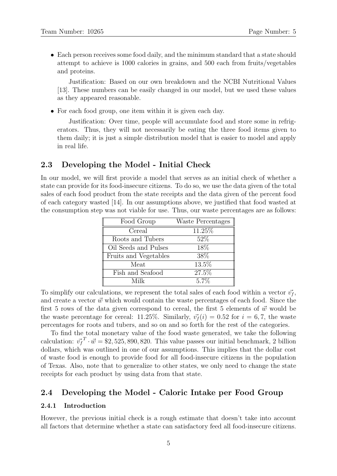• Each person receives some food daily, and the minimum standard that a state should attempt to achieve is 1000 calories in grains, and 500 each from fruits/vegetables and proteins.

Justification: Based on our own breakdown and the NCBI Nutritional Values [13]. These numbers can be easily changed in our model, but we used these values as they appeared reasonable.

• For each food group, one item within it is given each day.

Justification: Over time, people will accumulate food and store some in refrigerators. Thus, they will not necessarily be eating the three food items given to them daily; it is just a simple distribution model that is easier to model and apply in real life.

#### 2.3 Developing the Model - Initial Check

In our model, we will first provide a model that serves as an initial check of whether a state can provide for its food-insecure citizens. To do so, we use the data given of the total sales of each food product from the state receipts and the data given of the percent food of each category wasted [14]. In our assumptions above, we justified that food wasted at the consumption step was not viable for use. Thus, our waste percentages are as follows:

| Food Group            | Waste Percentages |
|-----------------------|-------------------|
| Cereal                | 11.25%            |
| Roots and Tubers      | 52%               |
| Oil Seeds and Pulses  | 18%               |
| Fruits and Vegetables | 38\%              |
| Meat                  | $13.5\%$          |
| Fish and Seafood      | 27.5%             |
| Milk                  | 5.7%              |

To simplify our calculations, we represent the total sales of each food within a vector  $\vec{v}_f$ , and create a vector  $\vec{w}$  which would contain the waste percentages of each food. Since the first 5 rows of the data given correspond to cereal, the first 5 elements of  $\vec{w}$  would be the waste percentage for cereal: 11.25%. Similarly,  $\vec{v}_f(i) = 0.52$  for  $i = 6, 7$ , the waste percentages for roots and tubers, and so on and so forth for the rest of the categories.

To find the total monetary value of the food waste generated, we take the following calculation:  $\vec{v_f}^T \cdot \vec{w} = $2,525,890,820$ . This value passes our initial benchmark, 2 billion dollars, which was outlined in one of our assumptions. This implies that the dollar cost of waste food is enough to provide food for all food-insecure citizens in the population of Texas. Also, note that to generalize to other states, we only need to change the state receipts for each product by using data from that state.

#### 2.4 Developing the Model - Caloric Intake per Food Group

#### 2.4.1 Introduction

However, the previous initial check is a rough estimate that doesn't take into account all factors that determine whether a state can satisfactory feed all food-insecure citizens.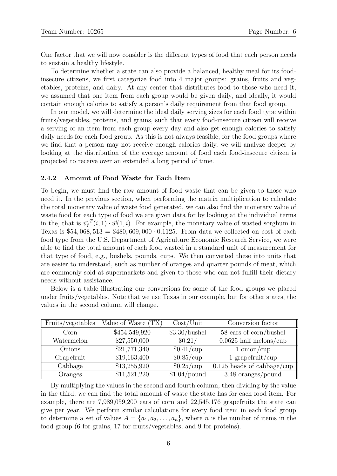One factor that we will now consider is the different types of food that each person needs to sustain a healthy lifestyle.

To determine whether a state can also provide a balanced, healthy meal for its foodinsecure citizens, we first categorize food into 4 major groups: grains, fruits and vegetables, proteins, and dairy. At any center that distributes food to those who need it, we assumed that one item from each group would be given daily, and ideally, it would contain enough calories to satisfy a person's daily requirement from that food group.

In our model, we will determine the ideal daily serving sizes for each food type within fruits/vegetables, proteins, and grains, such that every food-insecure citizen will receive a serving of an item from each group every day and also get enough calories to satisfy daily needs for each food group. As this is not always feasible, for the food groups where we find that a person may not receive enough calories daily, we will analyze deeper by looking at the distribution of the average amount of food each food-insecure citizen is projected to receive over an extended a long period of time.

#### 2.4.2 Amount of Food Waste for Each Item

To begin, we must find the raw amount of food waste that can be given to those who need it. In the previous section, when performing the matrix multiplication to calculate the total monetary value of waste food generated, we can also find the monetary value of waste food for each type of food we are given data for by looking at the individual terms in the, that is  $\vec{v}_f^T(i,1) \cdot \vec{w}(1,i)$ . For example, the monetary value of wasted sorghum in Texas is \$54, 068, 513 = \$480, 609, 000  $\cdot$  0.1125. From data we collected on cost of each food type from the U.S. Department of Agriculture Economic Research Service, we were able to find the total amount of each food wasted in a standard unit of measurement for that type of food, e.g., bushels, pounds, cups. We then converted these into units that are easier to understand, such as number of oranges and quarter pounds of meat, which are commonly sold at supermarkets and given to those who can not fulfill their dietary needs without assistance.

Below is a table illustrating our conversions for some of the food groups we placed under fruits/vegetables. Note that we use Texas in our example, but for other states, the values in the second column will change.

|            | Fruits/vegetables Value of Waste $(TX)$ | Cost/Unit      | Conversion factor            |
|------------|-----------------------------------------|----------------|------------------------------|
| Corn       | \$454,549,920                           | \$3.30/bushel  | 58 ears of corn/bushel       |
| Watermelon | \$27,550,000                            | \$0.21/        | $0.0625$ half melons/cup     |
| Onions     | \$21,771,340                            | \$0.41/cup     | $1 \text{ onion}/\text{cup}$ |
| Grapefruit | \$19,163,400                            | \$0.85/cup     | 1 grapefruit/cup             |
| Cabbage    | \$13,255,920                            | \$0.25/cup     | $0.125$ heads of cabbage/cup |
| Oranges    | \$11,521,220                            | $$1.04$ /pound | 3.48 oranges/pound           |

By multiplying the values in the second and fourth column, then dividing by the value in the third, we can find the total amount of waste the state has for each food item. For example, there are 7,989,059,200 ears of corn and 22,545,176 grapefruits the state can give per year. We perform similar calculations for every food item in each food group to determine a set of values  $A = \{a_1, a_2, \ldots, a_n\}$ , where n is the number of items in the food group (6 for grains, 17 for fruits/vegetables, and 9 for proteins).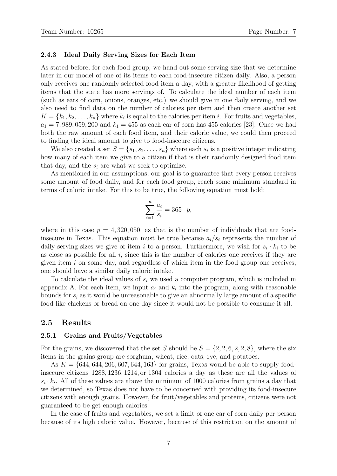#### 2.4.3 Ideal Daily Serving Sizes for Each Item

As stated before, for each food group, we hand out some serving size that we determine later in our model of one of its items to each food-insecure citizen daily. Also, a person only receives one randomly selected food item a day, with a greater likelihood of getting items that the state has more servings of. To calculate the ideal number of each item (such as ears of corn, onions, oranges, etc.) we should give in one daily serving, and we also need to find data on the number of calories per item and then create another set  $K = \{k_1, k_2, \ldots, k_n\}$  where  $k_i$  is equal to the calories per item *i*. For fruits and vegetables,  $a_1 = 7,989,059,200$  and  $k_1 = 455$  as each ear of corn has 455 calories [23]. Once we had both the raw amount of each food item, and their caloric value, we could then proceed to finding the ideal amount to give to food-insecure citizens.

We also created a set  $S = \{s_1, s_2, \ldots, s_n\}$  where each  $s_i$  is a positive integer indicating how many of each item we give to a citizen if that is their randomly designed food item that day, and the  $s_i$  are what we seek to optimize.

As mentioned in our assumptions, our goal is to guarantee that every person receives some amount of food daily, and for each food group, reach some minimum standard in terms of caloric intake. For this to be true, the following equation must hold:

$$
\sum_{i=1}^{n} \frac{a_i}{s_i} = 365 \cdot p,
$$

where in this case  $p = 4,320,050$ , as that is the number of individuals that are foodinsecure in Texas. This equation must be true because  $a_i/s_i$  represents the number of daily serving sizes we give of item i to a person. Furthermore, we wish for  $s_i \cdot k_i$  to be as close as possible for all  $i$ , since this is the number of calories one receives if they are given item  $i$  on some day, and regardless of which item in the food group one receives, one should have a similar daily caloric intake.

To calculate the ideal values of  $s_i$  we used a computer program, which is included in appendix A. For each item, we input  $a_i$  and  $k_i$  into the program, along with reasonable bounds for  $s_i$  as it would be unreasonable to give an abnormally large amount of a specific food like chickens or bread on one day since it would not be possible to consume it all.

#### 2.5 Results

#### 2.5.1 Grains and Fruits/Vegetables

For the grains, we discovered that the set S should be  $S = \{2, 2, 6, 2, 2, 8\}$ , where the six items in the grains group are sorghum, wheat, rice, oats, rye, and potatoes.

As  $K = \{644, 644, 206, 607, 644, 163\}$  for grains, Texas would be able to supply foodinsecure citizens 1288, 1236, 1214, or 1304 calories a day as these are all the values of  $s_i \cdot k_i$ . All of these values are above the minimum of 1000 calories from grains a day that we determined, so Texas does not have to be concerned with providing its food-insecure citizens with enough grains. However, for fruit/vegetables and proteins, citizens were not guaranteed to be get enough calories.

In the case of fruits and vegetables, we set a limit of one ear of corn daily per person because of its high caloric value. However, because of this restriction on the amount of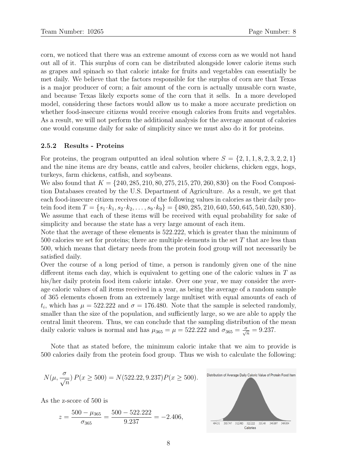corn, we noticed that there was an extreme amount of excess corn as we would not hand out all of it. This surplus of corn can be distributed alongside lower calorie items such as grapes and spinach so that caloric intake for fruits and vegetables can essentially be met daily. We believe that the factors responsible for the surplus of corn are that Texas is a major producer of corn; a fair amount of the corn is actually unusable corn waste, and because Texas likely exports some of the corn that it sells. In a more developed model, considering these factors would allow us to make a more accurate prediction on whether food-insecure citizens would receive enough calories from fruits and vegetables. As a result, we will not perform the additional analysis for the average amount of calories one would consume daily for sake of simplicity since we must also do it for proteins.

#### 2.5.2 Results - Proteins

For proteins, the program outputted an ideal solution where  $S = \{2, 1, 1, 8, 2, 3, 2, 2, 1\}$ and the nine items are dry beans, cattle and calves, broiler chickens, chicken eggs, hogs, turkeys, farm chickens, catfish, and soybeans.

We also found that  $K = \{240, 285, 210, 80, 275, 215, 270, 260, 830\}$  on the Food Composition Databases created by the U.S. Department of Agriculture. As a result, we get that each food-insecure citizen receives one of the following values in calories as their daily protein food item  $T = \{s_1 \cdot k_1, s_2 \cdot k_2, \ldots, s_9 \cdot k_9\} = \{480, 285, 210, 640, 550, 645, 540, 520, 830\}.$ We assume that each of these items will be received with equal probability for sake of simplicity and because the state has a very large amount of each item.

Note that the average of these elements is 522.222, which is greater than the minimum of 500 calories we set for proteins; there are multiple elements in the set  $T$  that are less than 500, which means that dietary needs from the protein food group will not necessarily be satisfied daily.

Over the course of a long period of time, a person is randomly given one of the nine different items each day, which is equivalent to getting one of the caloric values in  $T$  as his/her daily protein food item caloric intake. Over one year, we may consider the average caloric values of all items received in a year, as being the average of a random sample of 365 elements chosen from an extremely large multiset with equal amounts of each of  $t_i$ , which has  $\mu = 522.222$  and  $\sigma = 176.480$ . Note that the sample is selected randomly, smaller than the size of the population, and sufficiently large, so we are able to apply the central limit theorem. Thus, we can conclude that the sampling distribution of the mean daily caloric values is normal and has  $\mu_{365} = \mu = 522.222$  and  $\sigma_{365} = \frac{\sigma}{\sqrt{n}} = 9.237$ .

Note that as stated before, the minimum caloric intake that we aim to provide is 500 calories daily from the protein food group. Thus we wish to calculate the following:

$$
N(\mu, \frac{\sigma}{\sqrt{n}}) P(x \ge 500) = N(522.22, 9.237) P(x \ge 500).
$$

As the z-score of 500 is

$$
z = \frac{500 - \mu_{365}}{\sigma_{365}} = \frac{500 - 522.222}{9.237} = -2.406,
$$

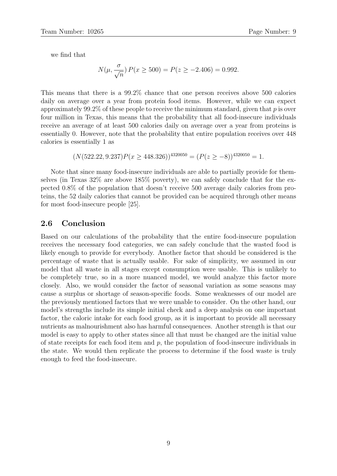we find that

$$
N(\mu, \frac{\sigma}{\sqrt{n}}) P(x \ge 500) = P(z \ge -2.406) = 0.992.
$$

This means that there is a 99.2% chance that one person receives above 500 calories daily on average over a year from protein food items. However, while we can expect approximately 99.2% of these people to receive the minimum standard, given that  $p$  is over four million in Texas, this means that the probability that all food-insecure individuals receive an average of at least 500 calories daily on average over a year from proteins is essentially 0. However, note that the probability that entire population receives over 448 calories is essentially 1 as

$$
(N(522.22, 9.237)P(x \ge 448.326))^{4320050} = (P(z \ge -8))^{4320050} = 1.
$$

Note that since many food-insecure individuals are able to partially provide for themselves (in Texas 32% are above 185% poverty), we can safely conclude that for the expected 0.8% of the population that doesn't receive 500 average daily calories from proteins, the 52 daily calories that cannot be provided can be acquired through other means for most food-insecure people [25].

#### 2.6 Conclusion

Based on our calculations of the probability that the entire food-insecure population receives the necessary food categories, we can safely conclude that the wasted food is likely enough to provide for everybody. Another factor that should be considered is the percentage of waste that is actually usable. For sake of simplicity, we assumed in our model that all waste in all stages except consumption were usable. This is unlikely to be completely true, so in a more nuanced model, we would analyze this factor more closely. Also, we would consider the factor of seasonal variation as some seasons may cause a surplus or shortage of season-specific foods. Some weaknesses of our model are the previously mentioned factors that we were unable to consider. On the other hand, our model's strengths include its simple initial check and a deep analysis on one important factor, the caloric intake for each food group, as it is important to provide all necessary nutrients as malnourishment also has harmful consequences. Another strength is that our model is easy to apply to other states since all that must be changed are the initial value of state receipts for each food item and  $p$ , the population of food-insecure individuals in the state. We would then replicate the process to determine if the food waste is truly enough to feed the food-insecure.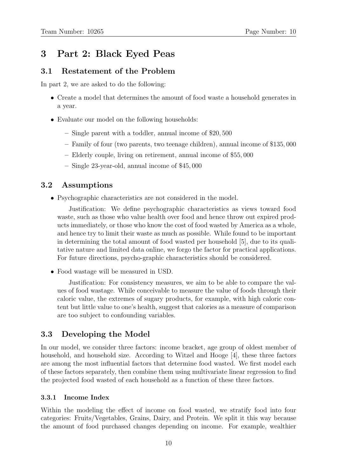## 3 Part 2: Black Eyed Peas

## 3.1 Restatement of the Problem

In part 2, we are asked to do the following:

- Create a model that determines the amount of food waste a household generates in a year.
- Evaluate our model on the following households:
	- Single parent with a toddler, annual income of \$20, 500
	- Family of four (two parents, two teenage children), annual income of \$135, 000
	- Elderly couple, living on retirement, annual income of \$55, 000
	- Single 23-year-old, annual income of \$45, 000

## 3.2 Assumptions

• Psychographic characteristics are not considered in the model.

Justification: We define psychographic characteristics as views toward food waste, such as those who value health over food and hence throw out expired products immediately, or those who know the cost of food wasted by America as a whole, and hence try to limit their waste as much as possible. While found to be important in determining the total amount of food wasted per household [5], due to its qualitative nature and limited data online, we forgo the factor for practical applications. For future directions, psycho-graphic characteristics should be considered.

• Food wastage will be measured in USD.

Justification: For consistency measures, we aim to be able to compare the values of food wastage. While conceivable to measure the value of foods through their caloric value, the extremes of sugary products, for example, with high caloric content but little value to one's health, suggest that calories as a measure of comparison are too subject to confounding variables.

## 3.3 Developing the Model

In our model, we consider three factors: income bracket, age group of oldest member of household, and household size. According to Witzel and Hooge [4], these three factors are among the most influential factors that determine food wasted. We first model each of these factors separately, then combine them using multivariate linear regression to find the projected food wasted of each household as a function of these three factors.

## 3.3.1 Income Index

Within the modeling the effect of income on food wasted, we stratify food into four categories: Fruits/Vegetables, Grains, Dairy, and Protein. We split it this way because the amount of food purchased changes depending on income. For example, wealthier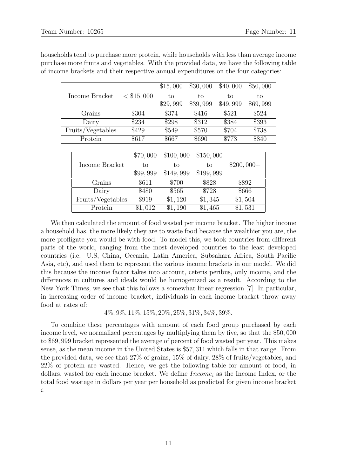|                   |              | \$15,000  | \$30,000  | \$40,000 | \$50,000    |
|-------------------|--------------|-----------|-----------|----------|-------------|
| Income Bracket    | $<$ \$15,000 | to        | to        | to       | to          |
|                   |              | \$29,999  | \$39,999  | \$49,999 | \$69,999    |
| Grains            | \$304        | \$374     | \$416     | \$521    | \$524       |
| Dairy             | \$234        | \$298     | \$312     | \$384    | \$393       |
| Fruits/Vegetables | \$429        | \$549     | \$570     | \$704    | \$738       |
| Protein           | \$617        | \$667     | \$690     | \$773    | \$840       |
|                   |              |           |           |          |             |
|                   | \$70,000     | \$100,000 | \$150,000 |          |             |
| Income Bracket    | to           | to        | to        |          | $$200,000+$ |
|                   | \$99,999     | \$149,999 | \$199,999 |          |             |
| Grains            | \$611        | \$700     | \$828     |          | \$892       |
| Dairy             | \$480        | \$565     | \$728     |          | \$666       |
| Fruits/Vegetables | \$919        | \$1,120   | \$1,345   |          | \$1,504     |
| Protein           | \$1,012      | \$1,190   | \$1,465   |          | \$1,531     |

households tend to purchase more protein, while households with less than average income purchase more fruits and vegetables. With the provided data, we have the following table of income brackets and their respective annual expenditures on the four categories:

We then calculated the amount of food wasted per income bracket. The higher income a household has, the more likely they are to waste food because the wealthier you are, the more profligate you would be with food. To model this, we took countries from different parts of the world, ranging from the most developed countries to the least developed countries (i.e. U.S, China, Oceania, Latin America, Subsahara Africa, South Pacific Asia, etc), and used them to represent the various income brackets in our model. We did this because the income factor takes into account, ceteris peribus, only income, and the differences in cultures and ideals would be homogenized as a result. According to the New York Times, we see that this follows a somewhat linear regression [7]. In particular, in increasing order of income bracket, individuals in each income bracket throw away food at rates of:

4%, 9%, 11%, 15%, 20%, 25%, 31%, 34%, 39%.

To combine these percentages with amount of each food group purchased by each income level, we normalized percentages by multiplying them by five, so that the \$50, 000 to \$69, 999 bracket represented the average of percent of food wasted per year. This makes sense, as the mean income in the United States is \$57, 311 which falls in that range. From the provided data, we see that 27% of grains, 15% of dairy, 28% of fruits/vegetables, and 22% of protein are wasted. Hence, we get the following table for amount of food, in dollars, wasted for each income bracket. We define  $Income_i$  as the Income Index, or the total food wastage in dollars per year per household as predicted for given income bracket i.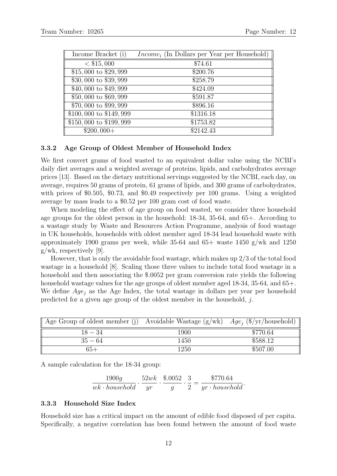| Income Bracket (i)                | $Income_i$ (In Dollars per Year per Household) |
|-----------------------------------|------------------------------------------------|
| $<$ \$15,000                      | \$74.61                                        |
| $\overline{$15,000}$$ to \$29,999 | \$200.76                                       |
| \$30,000 to \$39,999              | \$258.79                                       |
| \$40,000 to \$49,999              | \$424.09                                       |
| \$50,000 to \$69,999              | \$591.87                                       |
| $$70,000$ to $$99,999$            | \$896.16                                       |
| $$100,000$ to $$149,999$          | \$1316.18                                      |
| \$150,000 to \$199,999            | \$1753.82                                      |
| $$200,000+$                       | \$2142.43                                      |

#### 3.3.2 Age Group of Oldest Member of Household Index

We first convert grams of food wasted to an equivalent dollar value using the NCBI's daily diet averages and a weighted average of proteins, lipids, and carbohydrates average prices [13]. Based on the dietary nutritional servings suggested by the NCBI, each day, on average, requires 50 grams of protein, 61 grams of lipids, and 300 grams of carbohydrates, with prices of \$0.505, \$0.73, and \$0.49 respectively per 100 grams. Using a weighted average by mass leads to a \$0.52 per 100 gram cost of food waste.

When modeling the effect of age group on food wasted, we consider three household age groups for the oldest person in the household: 18-34, 35-64, and 65+. According to a wastage study by Waste and Resources Action Programme, analysis of food wastage in UK households, households with oldest member aged 18-34 lead household waste with approximately 1900 grams per week, while  $35{\text -}64$  and  $65{\text +}$  waste 1450 g/wk and 1250 g/wk, respectively [9].

However, that is only the avoidable food wastage, which makes up 2/3 of the total food wastage in a household [8]. Scaling those three values to include total food wastage in a household and then associating the \$.0052 per gram conversion rate yields the following household wastage values for the age groups of oldest member aged 18-34, 35-64, and 65+. We define  $Age<sub>i</sub>$  as the Age Index, the total wastage in dollars per year per household predicted for a given age group of the oldest member in the household,  $j$ .

| Age Group of oldest member (j) Avoidable Wastage $(g/wk)$ Age <sub>i</sub> $(\frac{f}{g}yr/household)$ |      |          |
|--------------------------------------------------------------------------------------------------------|------|----------|
| $18 - 34$                                                                                              | 1900 | \$770.64 |
| $35 - 64$                                                                                              | 1450 | \$588.12 |
| $65+$                                                                                                  | 1250 | \$507.00 |

A sample calculation for the 18-34 group:

$$
\frac{1900g}{wk \cdot household} \cdot \frac{52wk}{yr} \cdot \frac{\$.0052}{g} \cdot \frac{3}{2} = \frac{\$770.64}{yr \cdot household}.
$$

#### 3.3.3 Household Size Index

Household size has a critical impact on the amount of edible food disposed of per capita. Specifically, a negative correlation has been found between the amount of food waste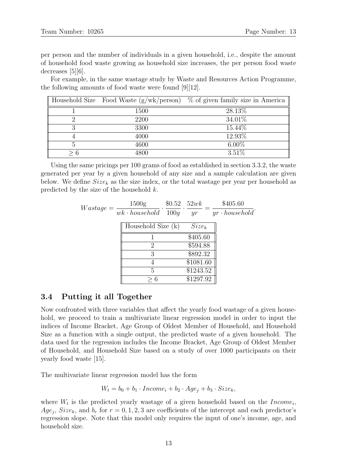per person and the number of individuals in a given household, i.e., despite the amount of household food waste growing as household size increases, the per person food waste decreases [5][6].

For example, in the same wastage study by Waste and Resources Action Programme, the following amounts of food waste were found [9][12].

|     |      | Household Size Food Waste $(g/wk/person)$ % of given family size in America |
|-----|------|-----------------------------------------------------------------------------|
|     | 1500 | 28.13\%                                                                     |
|     | 2200 | 34.01%                                                                      |
|     | 3300 | 15.44\%                                                                     |
|     | 4000 | 12.93%                                                                      |
|     | 4600 | $6.00\%$                                                                    |
| > 6 | 4800 | $3.51\%$                                                                    |

Using the same pricings per 100 grams of food as established in section 3.3.2, the waste generated per year by a given household of any size and a sample calculation are given below. We define  $Size_k$  as the size index, or the total wastage per year per household as predicted by the size of the household k.

|             | 1500 <sub>g</sub>           |      | $$0.52$ $52wk$ | \$405.60              |
|-------------|-----------------------------|------|----------------|-----------------------|
| $Wastage =$ | $wk \cdot household$        | 100q | yr             | $yr \cdot household'$ |
|             | Household Size $(k)$        |      | $Size_k$       |                       |
|             |                             |      | \$405.60       |                       |
|             | $\mathcal{D}_{\mathcal{L}}$ |      | \$594.88       |                       |
|             | 3                           |      | \$892.32       |                       |
|             |                             |      | \$1081.60      |                       |
|             | 5                           |      | \$1243.52      |                       |
|             | -6                          |      | \$1297.92      |                       |

#### 3.4 Putting it all Together

Now confronted with three variables that affect the yearly food wastage of a given household, we proceed to train a multivariate linear regression model in order to input the indices of Income Bracket, Age Group of Oldest Member of Household, and Household Size as a function with a single output, the predicted waste of a given household. The data used for the regression includes the Income Bracket, Age Group of Oldest Member of Household, and Household Size based on a study of over 1000 participants on their yearly food waste [15].

The multivariate linear regression model has the form

$$
W_t = b_0 + b_1 \cdot Income_i + b_2 \cdot Age_j + b_3 \cdot Size_k,
$$

where  $W_t$  is the predicted yearly wastage of a given household based on the  $Income_i$ ,  $Age_j$ ,  $Size_k$ , and  $b_r$  for  $r = 0, 1, 2, 3$  are coefficients of the intercept and each predictor's regression slope. Note that this model only requires the input of one's income, age, and household size.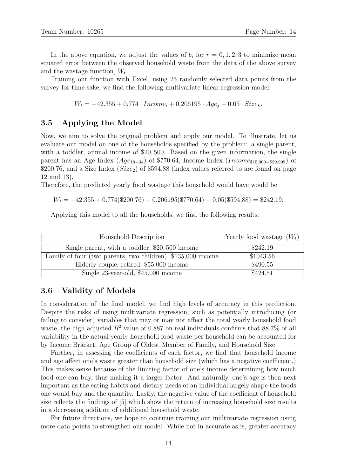In the above equation, we adjust the values of  $b_i$  for  $r = 0, 1, 2, 3$  to minimize mean squared error between the observed household waste from the data of the above survey and the wastage function,  $W_t$ .

Training our function with Excel, using 25 randomly selected data points from the survey for time sake, we find the following multivariate linear regression model,

 $W_t = -42.355 + 0.774 \cdot Income_i + 0.206195 \cdot Age_i - 0.05 \cdot Size_k.$ 

#### 3.5 Applying the Model

Now, we aim to solve the original problem and apply our model. To illustrate, let us evaluate our model on one of the households specified by the problem: a single parent, with a toddler, annual income of \$20,500. Based on the given information, the single parent has an Age Index ( $Age_{18-34}$ ) of \$770.64, Income Index (Income<sub>\$15,000</sub>-\$29,999) of \$200.76, and a Size Index  $(Size<sub>2</sub>)$  of \$594.88 (index values referred to are found on page 12 and 13).

Therefore, the predicted yearly food wastage this household would have would be

 $W_t = -42.355 + 0.774(\$200.76) + 0.206195(\$770.64) - 0.05(\$594.88) = \$242.19.$ 

Applying this model to all the households, we find the following results:

| Household Description                                        | Yearly food wastage $(W_t)$ |
|--------------------------------------------------------------|-----------------------------|
| Single parent, with a toddler, \$20,500 income               | \$242.19                    |
| Family of four (two parents, two children), \$135,000 income | \$1043.56                   |
| Elderly couple, retired, \$55,000 income                     | \$490.55                    |
| Single 23-year-old, \$45,000 income                          | \$424.51                    |

#### 3.6 Validity of Models

In consideration of the final model, we find high levels of accuracy in this prediction. Despite the risks of using multivariate regression, such as potentially introducing (or failing to consider) variables that may or may not affect the total yearly household food waste, the high adjusted  $R^2$  value of 0.887 on real individuals confirms that 88.7% of all variability in the actual yearly household food waste per household can be accounted for by Income Bracket, Age Group of Oldest Member of Family, and Household Size.

Further, in assessing the coefficients of each factor, we find that household income and age affect one's waste greater than household size (which has a negative coefficient.) This makes sense because of the limiting factor of one's income determining how much food one can buy, thus making it a larger factor. And naturally, one's age is then next important as the eating habits and dietary needs of an individual largely shape the foods one would buy and the quantity. Lastly, the negative value of the coefficient of household size reflects the findings of [5] which show the return of increasing household size results in a decreasing addition of additional household waste.

For future directions, we hope to continue training our multivariate regression using more data points to strengthen our model. While not in accurate as is, greater accuracy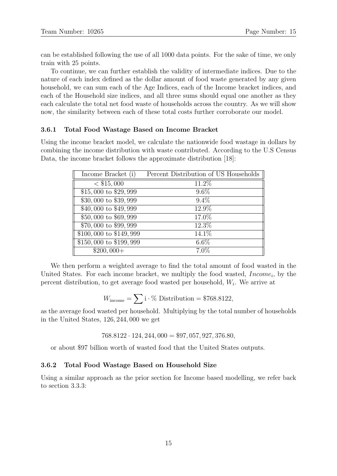can be established following the use of all 1000 data points. For the sake of time, we only train with 25 points.

To continue, we can further establish the validity of intermediate indices. Due to the nature of each index defined as the dollar amount of food waste generated by any given household, we can sum each of the Age Indices, each of the Income bracket indices, and each of the Household size indices, and all three sums should equal one another as they each calculate the total net food waste of households across the country. As we will show now, the similarity between each of these total costs further corroborate our model.

#### 3.6.1 Total Food Wastage Based on Income Bracket

Using the income bracket model, we calculate the nationwide food wastage in dollars by combining the income distribution with waste contributed. According to the U.S Census Data, the income bracket follows the approximate distribution [18]:

| Income Bracket (i)       | Percent Distribution of US Households |
|--------------------------|---------------------------------------|
| $\sqrt{815,000}$         | 11.2%                                 |
| $$15,000$ to \$29,999    | $9.6\%$                               |
| \$30,000 to \$39,999     | $9.4\%$                               |
| \$40,000 to \$49,999     | 12.9%                                 |
| \$50,000 to \$69,999     | 17.0%                                 |
| \$70,000 to \$99,999     | 12.3%                                 |
| \$100,000 to \$149,999   | 14.1%                                 |
| $$150,000$ to $$199,999$ | $6.6\%$                               |
| $$200,000+$              | $7.0\%$                               |

We then perform a weighted average to find the total amount of food wasted in the United States. For each income bracket, we multiply the food wasted,  $Income_i$ , by the percent distribution, to get average food wasted per household,  $W_i$ . We arrive at

$$
W_{\text{income}} = \sum i \cdot \% \text{ Distribution} = \$768.8122,
$$

as the average food wasted per household. Multiplying by the total number of households in the United States, 126, 244, 000 we get

 $768.8122 \cdot 124$ ,  $244$ ,  $000 = $97,057,927,376.80$ ,

or about \$97 billion worth of wasted food that the United States outputs.

#### 3.6.2 Total Food Wastage Based on Household Size

Using a similar approach as the prior section for Income based modelling, we refer back to section 3.3.3: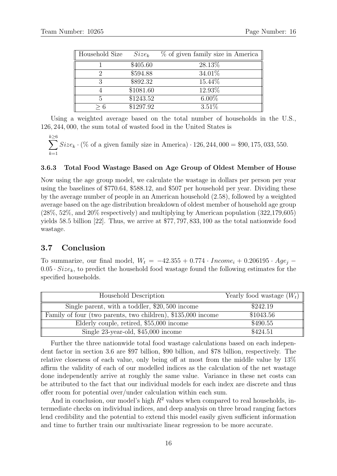| Household Size | $Size_k$  | % of given family size in America |
|----------------|-----------|-----------------------------------|
|                | \$405.60  | 28.13%                            |
| ')             | \$594.88  | 34.01\%                           |
| 3              | \$892.32  | 15.44\%                           |
|                | \$1081.60 | 12.93%                            |
| 5              | \$1243.52 | $6.00\%$                          |
|                | \$1297.92 | $3.51\%$                          |

Using a weighted average based on the total number of households in the U.S., 126, 244, 000, the sum total of wasted food in the United States is

$$
\sum_{k=1}^{k\geq 6} Size_k \cdot (\% \text{ of a given family size in America}) \cdot 126, 244, 000 = \$90, 175, 033, 550.
$$

#### 3.6.3 Total Food Wastage Based on Age Group of Oldest Member of House

Now using the age group model, we calculate the wastage in dollars per person per year using the baselines of \$770.64, \$588.12, and \$507 per household per year. Dividing these by the average number of people in an American household (2.58), followed by a weighted average based on the age distribution breakdown of oldest member of household age group (28%, 52%, and 20% respectively) and multiplying by American population (322,179,605) yields 58.5 billion [22]. Thus, we arrive at \$77, 797, 833, 100 as the total nationwide food wastage.

## 3.7 Conclusion

To summarize, our final model,  $W_t = -42.355 + 0.774 \cdot Income_i + 0.206195 \cdot Age_i 0.05 \cdot Size_k$ , to predict the household food wastage found the following estimates for the specified households.

| Household Description                                        | Yearly food wastage $(W_t)$ |
|--------------------------------------------------------------|-----------------------------|
| Single parent, with a toddler, \$20,500 income               | \$242.19                    |
| Family of four (two parents, two children), \$135,000 income | \$1043.56                   |
| Elderly couple, retired, \$55,000 income                     | \$490.55                    |
| Single 23-year-old, \$45,000 income                          | \$424.51                    |

Further the three nationwide total food wastage calculations based on each independent factor in section 3.6 are \$97 billion, \$90 billion, and \$78 billion, respectively. The relative closeness of each value, only being off at most from the middle value by 13% affirm the validity of each of our modelled indices as the calculation of the net wastage done independently arrive at roughly the same value. Variance in these net costs can be attributed to the fact that our individual models for each index are discrete and thus offer room for potential over/under calculation within each sum.

And in conclusion, our model's high  $R^2$  values when compared to real households, intermediate checks on individual indices, and deep analysis on three broad ranging factors lend credibility and the potential to extend this model easily given sufficient information and time to further train our multivariate linear regression to be more accurate.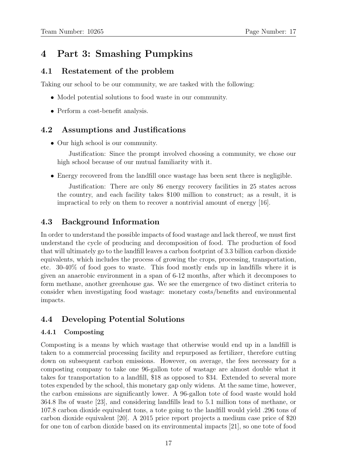## 4 Part 3: Smashing Pumpkins

## 4.1 Restatement of the problem

Taking our school to be our community, we are tasked with the following:

- Model potential solutions to food waste in our community.
- Perform a cost-benefit analysis.

## 4.2 Assumptions and Justifications

• Our high school is our community.

Justification: Since the prompt involved choosing a community, we chose our high school because of our mutual familiarity with it.

• Energy recovered from the landfill once wastage has been sent there is negligible.

Justification: There are only 86 energy recovery facilities in 25 states across the country, and each facility takes \$100 million to construct; as a result, it is impractical to rely on them to recover a nontrivial amount of energy [16].

## 4.3 Background Information

In order to understand the possible impacts of food wastage and lack thereof, we must first understand the cycle of producing and decomposition of food. The production of food that will ultimately go to the landfill leaves a carbon footprint of 3.3 billion carbon dioxide equivalents, which includes the process of growing the crops, processing, transportation, etc. 30-40% of food goes to waste. This food mostly ends up in landfills where it is given an anaerobic environment in a span of 6-12 months, after which it decomposes to form methane, another greenhouse gas. We see the emergence of two distinct criteria to consider when investigating food wastage: monetary costs/benefits and environmental impacts.

## 4.4 Developing Potential Solutions

## 4.4.1 Composting

Composting is a means by which wastage that otherwise would end up in a landfill is taken to a commercial processing facility and repurposed as fertilizer, therefore cutting down on subsequent carbon emissions. However, on average, the fees necessary for a composting company to take one 96-gallon tote of wastage are almost double what it takes for transportation to a landfill, \$18 as opposed to \$34. Extended to several more totes expended by the school, this monetary gap only widens. At the same time, however, the carbon emissions are significantly lower. A 96-gallon tote of food waste would hold 364.8 lbs of waste [23], and considering landfills lead to 5.1 million tons of methane, or 107.8 carbon dioxide equivalent tons, a tote going to the landfill would yield .296 tons of carbon dioxide equivalent [20]. A 2015 price report projects a medium case price of \$20 for one ton of carbon dioxide based on its environmental impacts [21], so one tote of food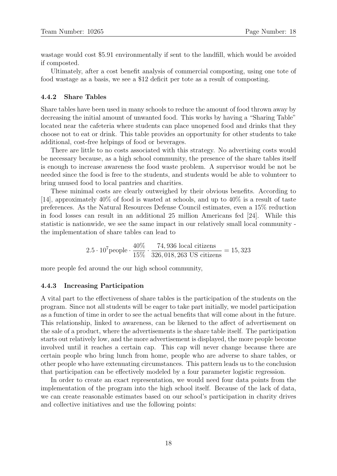wastage would cost \$5.91 environmentally if sent to the landfill, which would be avoided if composted.

Ultimately, after a cost benefit analysis of commercial composting, using one tote of food wastage as a basis, we see a \$12 deficit per tote as a result of composting.

#### 4.4.2 Share Tables

Share tables have been used in many schools to reduce the amount of food thrown away by decreasing the initial amount of unwanted food. This works by having a "Sharing Table" located near the cafeteria where students can place unopened food and drinks that they choose not to eat or drink. This table provides an opportunity for other students to take additional, cost-free helpings of food or beverages.

There are little to no costs associated with this strategy. No advertising costs would be necessary because, as a high school community, the presence of the share tables itself is enough to increase awareness the food waste problem. A supervisor would be not be needed since the food is free to the students, and students would be able to volunteer to bring unused food to local pantries and charities.

These minimal costs are clearly outweighed by their obvious benefits. According to [14], approximately 40% of food is wasted at schools, and up to 40% is a result of taste preferences. As the Natural Resources Defense Council estimates, even a 15% reduction in food losses can result in an additional 25 million Americans fed [24]. While this statistic is nationwide, we see the same impact in our relatively small local community the implementation of share tables can lead to

$$
2.5 \cdot 10^7 \text{people} \cdot \frac{40\%}{15\%} \cdot \frac{74,936 \text{ local citizens}}{326,018,263 \text{ US citizens}} = 15,323
$$

more people fed around the our high school community,

#### 4.4.3 Increasing Participation

A vital part to the effectiveness of share tables is the participation of the students on the program. Since not all students will be eager to take part initially, we model participation as a function of time in order to see the actual benefits that will come about in the future. This relationship, linked to awareness, can be likened to the affect of advertisement on the sale of a product, where the advertisements is the share table itself. The participation starts out relatively low, and the more advertisement is displayed, the more people become involved until it reaches a certain cap. This cap will never change because there are certain people who bring lunch from home, people who are adverse to share tables, or other people who have extenuating circumstances. This pattern leads us to the conclusion that participation can be effectively modeled by a four parameter logistic regression.

In order to create an exact representation, we would need four data points from the implementation of the program into the high school itself. Because of the lack of data, we can create reasonable estimates based on our school's participation in charity drives and collective initiatives and use the following points: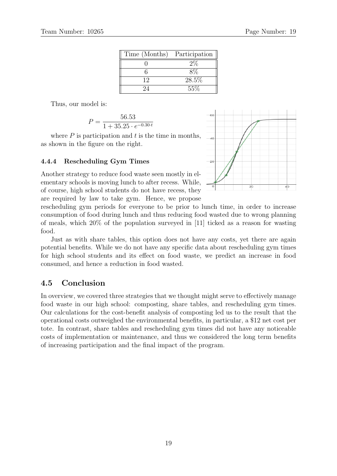| Time (Months) Participation |          |
|-----------------------------|----------|
|                             | $2\%$    |
|                             |          |
| 19                          | $28.5\%$ |
| '2Д                         | $55\%$   |

Thus, our model is:

| 56.53                               |  |
|-------------------------------------|--|
| $1 + 35.25 \cdot e^{-0.30 \cdot t}$ |  |

where  $P$  is participation and  $t$  is the time in months, as shown in the figure on the right.

#### 4.4.4 Rescheduling Gym Times

Another strategy to reduce food waste seen mostly in elementary schools is moving lunch to after recess. While, of course, high school students do not have recess, they are required by law to take gym. Hence, we propose



rescheduling gym periods for everyone to be prior to lunch time, in order to increase consumption of food during lunch and thus reducing food wasted due to wrong planning of meals, which 20% of the population surveyed in [11] ticked as a reason for wasting food.

Just as with share tables, this option does not have any costs, yet there are again potential benefits. While we do not have any specific data about rescheduling gym times for high school students and its effect on food waste, we predict an increase in food consumed, and hence a reduction in food wasted.

## 4.5 Conclusion

In overview, we covered three strategies that we thought might serve to effectively manage food waste in our high school: composting, share tables, and rescheduling gym times. Our calculations for the cost-benefit analysis of composting led us to the result that the operational costs outweighed the environmental benefits, in particular, a \$12 net cost per tote. In contrast, share tables and rescheduling gym times did not have any noticeable costs of implementation or maintenance, and thus we considered the long term benefits of increasing participation and the final impact of the program.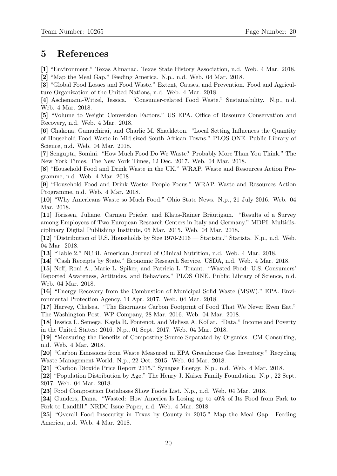## 5 References

[1] "Environment." Texas Almanac. Texas State History Association, n.d. Web. 4 Mar. 2018.

[2] "Map the Meal Gap." Feeding America. N.p., n.d. Web. 04 Mar. 2018.

[3] "Global Food Losses and Food Waste." Extent, Causes, and Prevention. Food and Agriculture Organization of the United Nations, n.d. Web. 4 Mar. 2018.

[4] Aschemann-Witzel, Jessica. "Consumer-related Food Waste." Sustainability. N.p., n.d. Web. 4 Mar. 2018.

[5] "Volume to Weight Conversion Factors." US EPA. Office of Resource Conservation and Recovery, n.d. Web. 4 Mar. 2018.

[6] Chakona, Gamuchirai, and Charlie M. Shackleton. "Local Setting Influences the Quantity of Household Food Waste in Mid-sized South African Towns." PLOS ONE. Public Library of Science, n.d. Web. 04 Mar. 2018.

[7] Sengupta, Somini. "How Much Food Do We Waste? Probably More Than You Think." The New York Times. The New York Times, 12 Dec. 2017. Web. 04 Mar. 2018.

[8] "Household Food and Drink Waste in the UK." WRAP. Waste and Resources Action Programme, n.d. Web. 4 Mar. 2018.

[9] "Household Food and Drink Waste: People Focus." WRAP. Waste and Resources Action Programme, n.d. Web. 4 Mar. 2018.

[10] "Why Americans Waste so Much Food." Ohio State News. N.p., 21 July 2016. Web. 04 Mar. 2018.

[11] Jörissen, Juliane, Carmen Priefer, and Klaus-Rainer Bräutigam. "Results of a Survey among Employees of Two European Research Centers in Italy and Germany." MDPI. Multidisciplinary Digital Publishing Institute, 05 Mar. 2015. Web. 04 Mar. 2018.

[12] "Distribution of U.S. Households by Size 1970-2016 — Statistic." Statista. N.p., n.d. Web. 04 Mar. 2018.

[13] "Table 2." NCBI. American Journal of Clinical Nutrition, n.d. Web. 4 Mar. 2018.

[14] "Cash Receipts by State." Economic Research Service. USDA, n.d. Web. 4 Mar. 2018.

[15] Neff, Roni A., Marie L. Spiker, and Patricia L. Truant. "Wasted Food: U.S. Consumers' Reported Awareness, Attitudes, and Behaviors." PLOS ONE. Public Library of Science, n.d. Web. 04 Mar. 2018.

[16] "Energy Recovery from the Combustion of Municipal Solid Waste (MSW)." EPA. Environmental Protection Agency, 14 Apr. 2017. Web. 04 Mar. 2018.

[17] Harvey, Chelsea. "The Enormous Carbon Footprint of Food That We Never Even Eat." The Washington Post. WP Company, 28 Mar. 2016. Web. 04 Mar. 2018.

[18] Jessica L. Semega, Kayla R. Fontenot, and Melissa A. Kollar. "Data." Income and Poverty in the United States: 2016. N.p., 01 Sept. 2017. Web. 04 Mar. 2018.

[19] "Measuring the Benefits of Composting Source Separated by Organics. CM Consulting, n.d. Web. 4 Mar. 2018.

[20] "Carbon Emissions from Waste Measured in EPA Greenhouse Gas Inventory." Recycling Waste Management World. N.p., 22 Oct. 2015. Web. 04 Mar. 2018.

[21] "Carbon Dioxide Price Report 2015." Synapse Energy. N.p., n.d. Web. 4 Mar. 2018.

[22] "Population Distribution by Age." The Henry J. Kaiser Family Foundation. N.p., 22 Sept. 2017. Web. 04 Mar. 2018.

[23] Food Composition Databases Show Foods List. N.p., n.d. Web. 04 Mar. 2018.

[24] Gunders, Dana. "Wasted: How America Is Losing up to 40% of Its Food from Fark to Fork to Landfill." NRDC Issue Paper, n.d. Web. 4 Mar. 2018.

[25] "Overall Food Insecurity in Texas by County in 2015." Map the Meal Gap. Feeding America, n.d. Web. 4 Mar. 2018.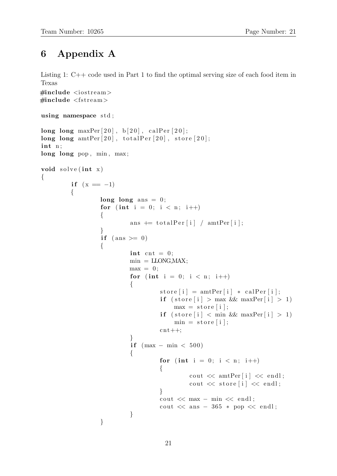## 6 Appendix A

Listing 1: C++ code used in Part 1 to find the optimal serving size of each food item in Texas

```
\#include \leq iostream >\#include < fstream >
using namespace std;
long long maxPer [20], b [20], calPer [20];
long long amtPer [20], totalPer [20], store [20];
int n:
long long pop, min, max;
void solve(int x){
         if (x = -1){
                   long long ans = 0;
                   for (int i = 0; i < n; i++)
                   {
                            ans += totalPer [i] / amtPer [i];
                   }
                   if (\text{ans} \geq 0){
                            \textbf{int} cnt = 0;
                            min = LLONGMAX;\max = 0;for (int i = 0; i < n; i++)
                            {
                                      store[i] = amtPer[i] * calPer[i];if (\text{store}[i] > \max \&\& \max Per[i] > 1)max = store[i];if (\text{store}[i] < \min \&\& \max\{[i] > 1\})min = store[i];\text{cnt}++;}
                            if (max - min < 500){
                                      for (int i = 0; i < n; i++)
                                      {
                                               cout \ll amtPer[i] \ll endl;
                                               cout \ll store [i] \ll endl;
                                      }
                                      \text{cout} \ll \text{max} - \text{min} \ll \text{endl};
                                      cout << ans -365 * pop << endl;
                            }
                   }
```